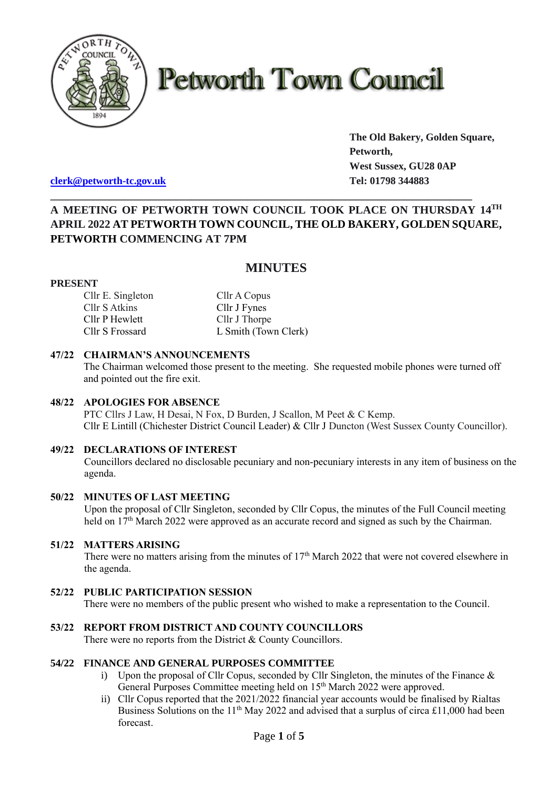

# **Petworth Town Council**

**The Old Bakery, Golden Square, Petworth, West Sussex, GU28 0AP**

**[clerk@petworth-tc.gov.uk](mailto:clerk@petworth-tc.gov.uk) Tel: 01798 344883**

## **A MEETING OF PETWORTH TOWN COUNCIL TOOK PLACE ON THURSDAY 14 TH APRIL 2022 AT PETWORTH TOWN COUNCIL, THE OLD BAKERY, GOLDEN SQUARE, PETWORTH COMMENCING AT 7PM**

**\_\_\_\_\_\_\_\_\_\_\_\_\_\_\_\_\_\_\_\_\_\_\_\_\_\_\_\_\_\_\_\_\_\_\_\_\_\_\_\_\_\_\_\_\_\_\_\_\_\_\_\_\_\_\_\_\_\_\_\_\_\_\_\_\_\_\_\_\_\_\_\_\_\_\_**

### **MINUTES**

#### **PRESENT**

| Cllr E. Singleton | Cllr A Copus         |
|-------------------|----------------------|
| Cllr S Atkins     | Cllr J Fynes         |
| Cllr P Hewlett    | Cllr J Thorpe        |
| Cllr S Frossard   | L Smith (Town Clerk) |

#### **47/22 CHAIRMAN'S ANNOUNCEMENTS**

The Chairman welcomed those present to the meeting. She requested mobile phones were turned off and pointed out the fire exit.

#### **48/22 APOLOGIES FOR ABSENCE**

PTC Cllrs J Law, H Desai, N Fox, D Burden, J Scallon, M Peet & C Kemp. Cllr E Lintill (Chichester District Council Leader) & Cllr J Duncton (West Sussex County Councillor).

#### **49/22 DECLARATIONS OF INTEREST**

Councillors declared no disclosable pecuniary and non-pecuniary interests in any item of business on the agenda.

#### **50/22 MINUTES OF LAST MEETING**

Upon the proposal of Cllr Singleton, seconded by Cllr Copus, the minutes of the Full Council meeting held on 17<sup>th</sup> March 2022 were approved as an accurate record and signed as such by the Chairman.

#### **51/22 MATTERS ARISING**

There were no matters arising from the minutes of 17<sup>th</sup> March 2022 that were not covered elsewhere in the agenda.

#### **52/22 PUBLIC PARTICIPATION SESSION**

There were no members of the public present who wished to make a representation to the Council.

#### **53/22 REPORT FROM DISTRICT AND COUNTY COUNCILLORS**

There were no reports from the District & County Councillors.

#### **54/22 FINANCE AND GENERAL PURPOSES COMMITTEE**

- i) Upon the proposal of Cllr Copus, seconded by Cllr Singleton, the minutes of the Finance  $\&$ General Purposes Committee meeting held on 15<sup>th</sup> March 2022 were approved.
- ii) Cllr Copus reported that the 2021/2022 financial year accounts would be finalised by Rialtas Business Solutions on the 11<sup>th</sup> May 2022 and advised that a surplus of circa £11,000 had been forecast.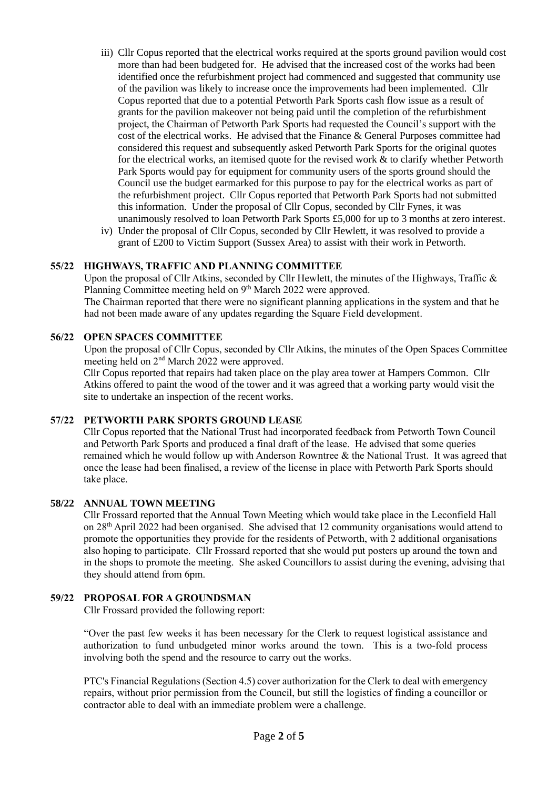- iii) Cllr Copus reported that the electrical works required at the sports ground pavilion would cost more than had been budgeted for. He advised that the increased cost of the works had been identified once the refurbishment project had commenced and suggested that community use of the pavilion was likely to increase once the improvements had been implemented. Cllr Copus reported that due to a potential Petworth Park Sports cash flow issue as a result of grants for the pavilion makeover not being paid until the completion of the refurbishment project, the Chairman of Petworth Park Sports had requested the Council's support with the cost of the electrical works. He advised that the Finance & General Purposes committee had considered this request and subsequently asked Petworth Park Sports for the original quotes for the electrical works, an itemised quote for the revised work & to clarify whether Petworth Park Sports would pay for equipment for community users of the sports ground should the Council use the budget earmarked for this purpose to pay for the electrical works as part of the refurbishment project. Cllr Copus reported that Petworth Park Sports had not submitted this information. Under the proposal of Cllr Copus, seconded by Cllr Fynes, it was unanimously resolved to loan Petworth Park Sports £5,000 for up to 3 months at zero interest.
- iv) Under the proposal of Cllr Copus, seconded by Cllr Hewlett, it was resolved to provide a grant of £200 to Victim Support (Sussex Area) to assist with their work in Petworth.

#### **55/22 HIGHWAYS, TRAFFIC AND PLANNING COMMITTEE**

Upon the proposal of Cllr Atkins, seconded by Cllr Hewlett, the minutes of the Highways, Traffic & Planning Committee meeting held on 9<sup>th</sup> March 2022 were approved.

The Chairman reported that there were no significant planning applications in the system and that he had not been made aware of any updates regarding the Square Field development.

#### **56/22 OPEN SPACES COMMITTEE**

Upon the proposal of Cllr Copus, seconded by Cllr Atkins, the minutes of the Open Spaces Committee meeting held on 2<sup>nd</sup> March 2022 were approved.

Cllr Copus reported that repairs had taken place on the play area tower at Hampers Common. Cllr Atkins offered to paint the wood of the tower and it was agreed that a working party would visit the site to undertake an inspection of the recent works.

#### **57/22 PETWORTH PARK SPORTS GROUND LEASE**

Cllr Copus reported that the National Trust had incorporated feedback from Petworth Town Council and Petworth Park Sports and produced a final draft of the lease. He advised that some queries remained which he would follow up with Anderson Rowntree & the National Trust. It was agreed that once the lease had been finalised, a review of the license in place with Petworth Park Sports should take place.

#### **58/22 ANNUAL TOWN MEETING**

Cllr Frossard reported that the Annual Town Meeting which would take place in the Leconfield Hall on 28th April 2022 had been organised. She advised that 12 community organisations would attend to promote the opportunities they provide for the residents of Petworth, with 2 additional organisations also hoping to participate. Cllr Frossard reported that she would put posters up around the town and in the shops to promote the meeting. She asked Councillors to assist during the evening, advising that they should attend from 6pm.

#### **59/22 PROPOSAL FOR A GROUNDSMAN**

Cllr Frossard provided the following report:

"Over the past few weeks it has been necessary for the Clerk to request logistical assistance and authorization to fund unbudgeted minor works around the town. This is a two-fold process involving both the spend and the resource to carry out the works.

PTC's Financial Regulations (Section 4.5) cover authorization for the Clerk to deal with emergency repairs, without prior permission from the Council, but still the logistics of finding a councillor or contractor able to deal with an immediate problem were a challenge.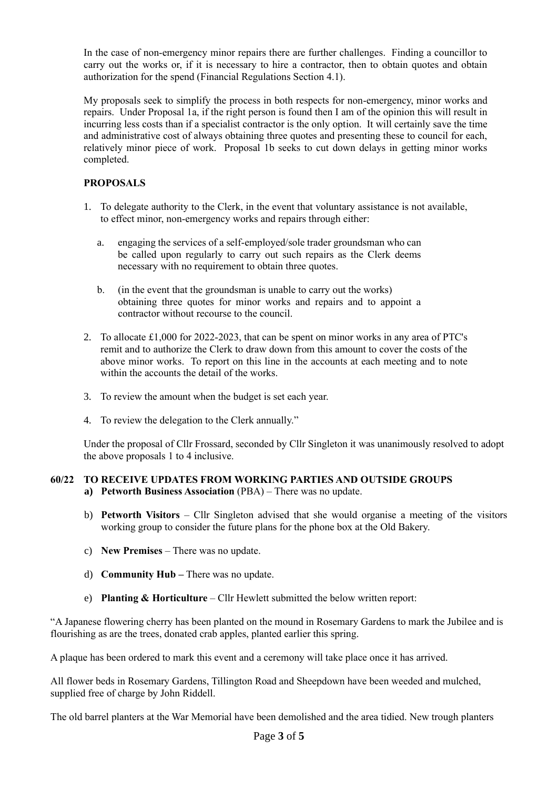In the case of non-emergency minor repairs there are further challenges. Finding a councillor to carry out the works or, if it is necessary to hire a contractor, then to obtain quotes and obtain authorization for the spend (Financial Regulations Section 4.1).

My proposals seek to simplify the process in both respects for non-emergency, minor works and repairs. Under Proposal 1a, if the right person is found then I am of the opinion this will result in incurring less costs than if a specialist contractor is the only option. It will certainly save the time and administrative cost of always obtaining three quotes and presenting these to council for each, relatively minor piece of work. Proposal 1b seeks to cut down delays in getting minor works completed.

#### **PROPOSALS**

- 1. To delegate authority to the Clerk, in the event that voluntary assistance is not available, to effect minor, non-emergency works and repairs through either:
	- a. engaging the services of a self-employed/sole trader groundsman who can be called upon regularly to carry out such repairs as the Clerk deems necessary with no requirement to obtain three quotes.
	- b. (in the event that the groundsman is unable to carry out the works) obtaining three quotes for minor works and repairs and to appoint a contractor without recourse to the council.
- 2. To allocate £1,000 for 2022-2023, that can be spent on minor works in any area of PTC's remit and to authorize the Clerk to draw down from this amount to cover the costs of the above minor works. To report on this line in the accounts at each meeting and to note within the accounts the detail of the works.
- 3. To review the amount when the budget is set each year.
- 4. To review the delegation to the Clerk annually."

Under the proposal of Cllr Frossard, seconded by Cllr Singleton it was unanimously resolved to adopt the above proposals 1 to 4 inclusive.

# **60/22 TO RECEIVE UPDATES FROM WORKING PARTIES AND OUTSIDE GROUPS**

- **a) Petworth Business Association** (PBA) There was no update.
- b) **Petworth Visitors** Cllr Singleton advised that she would organise a meeting of the visitors working group to consider the future plans for the phone box at the Old Bakery.
- c) **New Premises** There was no update.
- d) **Community Hub –** There was no update.
- e) **Planting & Horticulture** Cllr Hewlett submitted the below written report:

"A Japanese flowering cherry has been planted on the mound in Rosemary Gardens to mark the Jubilee and is flourishing as are the trees, donated crab apples, planted earlier this spring.

A plaque has been ordered to mark this event and a ceremony will take place once it has arrived.

All flower beds in Rosemary Gardens, Tillington Road and Sheepdown have been weeded and mulched, supplied free of charge by John Riddell.

The old barrel planters at the War Memorial have been demolished and the area tidied. New trough planters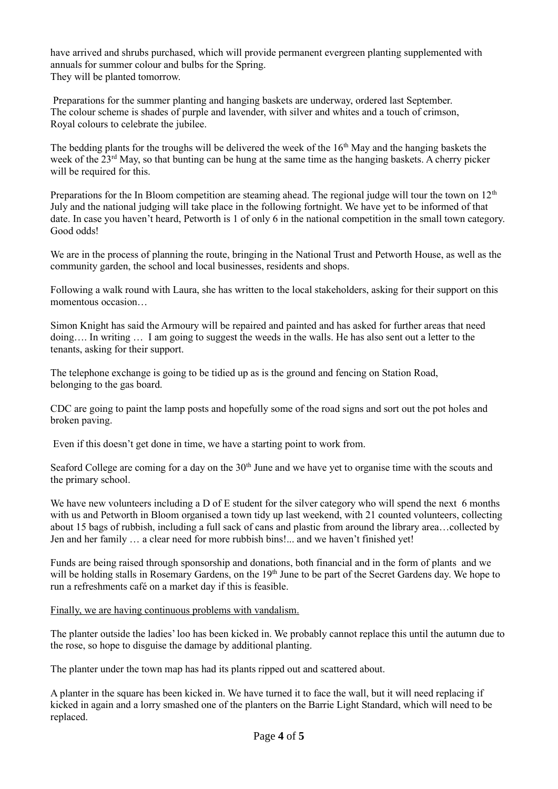have arrived and shrubs purchased, which will provide permanent evergreen planting supplemented with annuals for summer colour and bulbs for the Spring. They will be planted tomorrow.

Preparations for the summer planting and hanging baskets are underway, ordered last September. The colour scheme is shades of purple and lavender, with silver and whites and a touch of crimson, Royal colours to celebrate the jubilee.

The bedding plants for the troughs will be delivered the week of the  $16<sup>th</sup>$  May and the hanging baskets the week of the 23<sup>rd</sup> May, so that bunting can be hung at the same time as the hanging baskets. A cherry picker will be required for this.

Preparations for the In Bloom competition are steaming ahead. The regional judge will tour the town on  $12<sup>th</sup>$ July and the national judging will take place in the following fortnight. We have yet to be informed of that date. In case you haven't heard, Petworth is 1 of only 6 in the national competition in the small town category. Good odds!

We are in the process of planning the route, bringing in the National Trust and Petworth House, as well as the community garden, the school and local businesses, residents and shops.

Following a walk round with Laura, she has written to the local stakeholders, asking for their support on this momentous occasion…

Simon Knight has said the Armoury will be repaired and painted and has asked for further areas that need doing…. In writing … I am going to suggest the weeds in the walls. He has also sent out a letter to the tenants, asking for their support.

The telephone exchange is going to be tidied up as is the ground and fencing on Station Road, belonging to the gas board.

CDC are going to paint the lamp posts and hopefully some of the road signs and sort out the pot holes and broken paving.

Even if this doesn't get done in time, we have a starting point to work from.

Seaford College are coming for a day on the 30<sup>th</sup> June and we have yet to organise time with the scouts and the primary school.

We have new volunteers including a D of E student for the silver category who will spend the next 6 months with us and Petworth in Bloom organised a town tidy up last weekend, with 21 counted volunteers, collecting about 15 bags of rubbish, including a full sack of cans and plastic from around the library area…collected by Jen and her family … a clear need for more rubbish bins!... and we haven't finished yet!

Funds are being raised through sponsorship and donations, both financial and in the form of plants and we will be holding stalls in Rosemary Gardens, on the 19<sup>th</sup> June to be part of the Secret Gardens day. We hope to run a refreshments café on a market day if this is feasible.

#### Finally, we are having continuous problems with vandalism.

The planter outside the ladies' loo has been kicked in. We probably cannot replace this until the autumn due to the rose, so hope to disguise the damage by additional planting.

The planter under the town map has had its plants ripped out and scattered about.

A planter in the square has been kicked in. We have turned it to face the wall, but it will need replacing if kicked in again and a lorry smashed one of the planters on the Barrie Light Standard, which will need to be replaced.